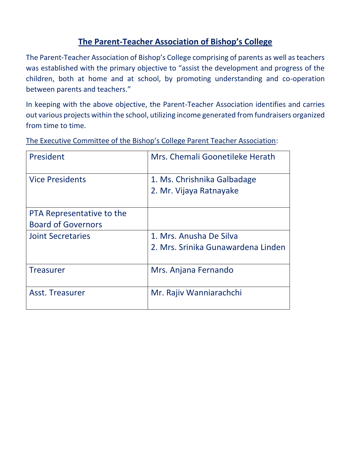# **The Parent-Teacher Association of Bishop's College**

The Parent-Teacher Association of Bishop's College comprising of parents as well as teachers was established with the primary objective to "assist the development and progress of the children, both at home and at school, by promoting understanding and co-operation between parents and teachers."

In keeping with the above objective, the Parent-Teacher Association identifies and carries out various projects within the school, utilizing income generated from fundraisers organized from time to time.

| President                 | Mrs. Chemali Goonetileke Herath    |
|---------------------------|------------------------------------|
| <b>Vice Presidents</b>    | 1. Ms. Chrishnika Galbadage        |
|                           | 2. Mr. Vijaya Ratnayake            |
| PTA Representative to the |                                    |
| <b>Board of Governors</b> |                                    |
| <b>Joint Secretaries</b>  | 1. Mrs. Anusha De Silva            |
|                           | 2. Mrs. Srinika Gunawardena Linden |
| <b>Treasurer</b>          | Mrs. Anjana Fernando               |
| Asst. Treasurer           | Mr. Rajiv Wanniarachchi            |

The Executive Committee of the Bishop's College Parent Teacher Association: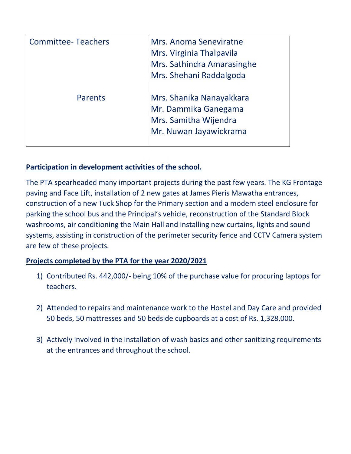| <b>Committee-Teachers</b> | Mrs. Anoma Seneviratne<br>Mrs. Virginia Thalpavila<br>Mrs. Sathindra Amarasinghe<br>Mrs. Shehani Raddalgoda |
|---------------------------|-------------------------------------------------------------------------------------------------------------|
| <b>Parents</b>            | Mrs. Shanika Nanayakkara<br>Mr. Dammika Ganegama<br>Mrs. Samitha Wijendra<br>Mr. Nuwan Jayawickrama         |

# **Participation in development activities of the school.**

The PTA spearheaded many important projects during the past few years. The KG Frontage paving and Face Lift, installation of 2 new gates at James Pieris Mawatha entrances, construction of a new Tuck Shop for the Primary section and a modern steel enclosure for parking the school bus and the Principal's vehicle, reconstruction of the Standard Block washrooms, air conditioning the Main Hall and installing new curtains, lights and sound systems, assisting in construction of the perimeter security fence and CCTV Camera system are few of these projects*.* 

## **Projects completed by the PTA for the year 2020/2021**

- 1) Contributed Rs. 442,000/- being 10% of the purchase value for procuring laptops for teachers.
- 2) Attended to repairs and maintenance work to the Hostel and Day Care and provided 50 beds, 50 mattresses and 50 bedside cupboards at a cost of Rs. 1,328,000.
- 3) Actively involved in the installation of wash basics and other sanitizing requirements at the entrances and throughout the school.